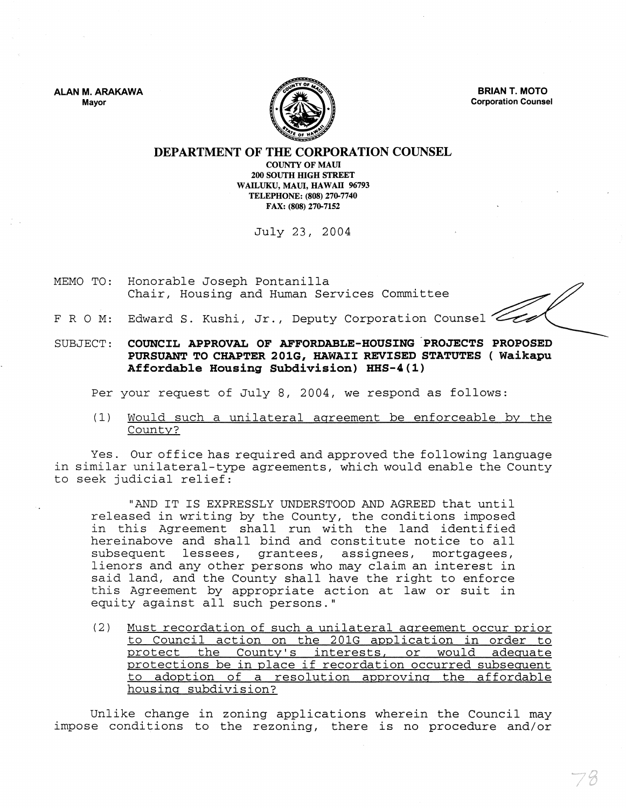ALAN M. ARAKAWA Mayor



BRIAN T. MOTO Corporation Counsel

### DEPARTMENT OF THE CORPORATION COUNSEL

COUNTY OF MAUl 200 SOUTH HIGH STREET WAILUKU, MAUl, HAWAII 96793 TELEPHONE: (808) 270-7740 FAX: (808) 270-7152

July 23, 2004

MEMO TO: Honorable Joseph Pontanilla Chair, Housing and Human Services Committee

- F R O M: Edward S. Kushi, Jr., Deputy Corporation Counsel
- SUBJECT: COUNCIL APPROVAL OF AFFORDABLE-ROUSING "PROJECTS PROPOSED PURSUANT TO CHAPTER 201G, HAWAII REVISED STATUTES ( Waikapu Affordable Housing Subdivision) HHS-4(1)

Per your request of July 8, 2004, we respond as follows:

(1) Would such a unilateral agreement be enforceable by the County?

Yes. Our office has required and approved the following language in similar unilateral-type agreements, which would enable the County to seek judicial relief:

"AND IT IS EXPRESSLY UNDERSTOOD AND AGREED that until released in writing by the County, the conditions imposed in this Agreement shall run with the land identified hereinabove and shall bind and constitute notice to all subsequent lessees, grantees, assignees, mortgagees, lienors and any other persons who may claim an interest in said land, and the County shall have the right to enforce this Agreement by appropriate action at law or suit in equity against all such persons."

(2) Must recordation of such a unilateral aareement occur Drior to Council action on the 201G application in order to protect the County's interests, or would adequate protections be in place if recordation occurred subsequent to adoption of a resolution approving the affordable housing subdivision?

Unlike change in zoning applications wherein the Council may impose conditions to the rezoning, there is no procedure and/or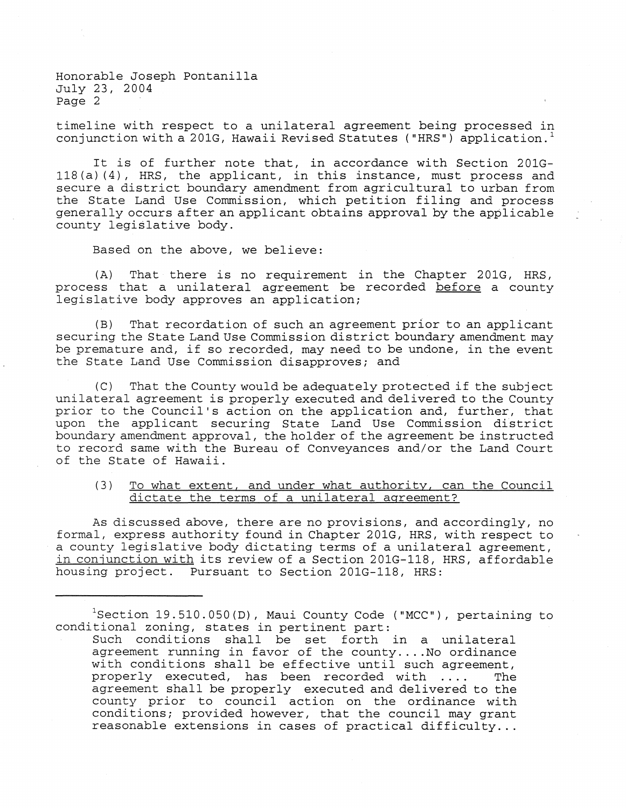Honorable Joseph Pontanilla July 23, 2004 Page 2

timeline with respect to a unilateral agreement being processed in conjunction with a 201G, Hawaii Revised Statutes ("HRS") application.<sup>1</sup>

It is of further note that, in accordance with Section 20lG-118(a) (4), HRS, the applicant, in this instance, must process and secure a district boundary amendment from agricultural to urban from the State Land Use Commission, which petition filing and process generally occurs after an applicant obtains approval by the applicable county legislative body.

Based on the above, we believe:

(A) That there is no requirement in the Chapter 201G, HRS, process that a unilateral agreement be recorded before a county legislative body approves an application;

(B) That recordation of such an agreement prior to an applicant securing the State Land Use Commission district boundary amendment may be premature and, if so recorded, may need to be undone, in the event the State Land Use Commission disapproves; and

(C) That the County would be adequately protected if the subject unilateral agreement is properly executed and delivered to the County prior to the Council's action on the application and, further, that upon the applicant securing State Land Use Commission district boundary amendment approval, the holder of the agreement be instructed to record same with the Bureau of Conveyances and/or the Land Court of the State of Hawaii.

## (3) To what extent, and under what authority, can the Council dictate the terms of a unilateral agreement?

As discussed above, there are no provisions, and accordingly, no formal, express authority found in Chapter 201G, HRS, with respect to a county legislative body dictating terms of a unilateral agreement, in conjunction with its review of a Section 201G-118, HRS, affordable housing project. Pursuant to Section 201G-118, HRS:

 $1$ Section 19.510.050(D), Maui County Code ("MCC"), pertaining to conditional zoning, states in pertinent part:

Such conditions shall be set forth in a unilateral agreement running in favor of the county....No ordinance with conditions shall be effective until such agreement,<br>properly executed, has been recorded with .... The properly executed, has been recorded with .... agreement shall be properly executed and delivered to the county prior to council action on the ordinance with conditions; provided however, that the council may grant reasonable extensions in cases of practical difficulty...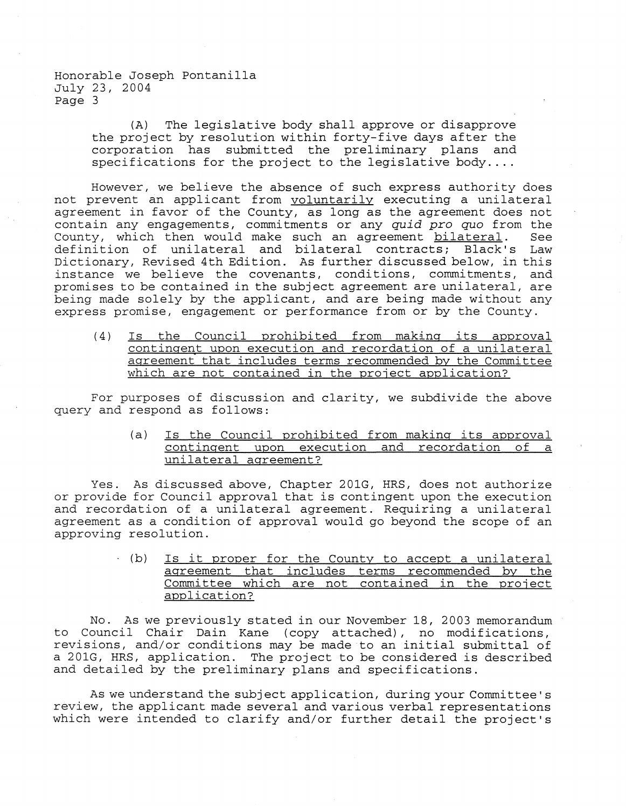Honorable Joseph Pontanilla July 23, 2004 Page 3

> (A) The legislative body shall approve or disapprove the project by resolution within forty-five days after the corporation has submitted the preliminary plans and specifications for the project to the legislative body....

However, we believe the absence of such express authority does not prevent an applicant from voluntarily executing a unilateral agreement in favor of the County, as long as the agreement does not contain any engagements, commitments or any *quid pro quo* from the County, which then would make such an agreement bilateral. See definition of unilateral and bilateral contracts; Black's Law Dictionary, Revised 4th Edition. As further discussed below, in this instance we believe the covenants, conditions, commitments, and promises to be contained in the subject agreement are unilateral, are being made solely by the applicant, and are being made without any express promise, engagement or performance from or by the County.

(4) Is the Council prohibited from making its approval contingent upon execution and recordation of a unilateral aareement that includes terms recommended by the Committee which are not contained in the project application?

For purposes of discussion and clarity, we subdivide the above query and respond as follows:

> (a) Is the Council prohibited from making its approval contingent upon execution and recordation of a unilateral agreement?

Yes. As discussed above, Chapter 201G, HRS, does not authorize or provide for Council approval that is contingent upon the execution and recordation of a unilateral agreement. Requiring a unilateral agreement as a condition of approval would go beyond the scope of an approving resolution.

> $(b)$  Is it proper for the County to accept a unilateral agreement that includes terms recommended by the Committee which are not contained in the project application?

No. As we previously stated in our November 18, 2003 memorandum to Council Chair Dain Kane (copy attached), no modifications, revisions, and/or conditions may be made to an initial submittal of a 201G, HRS, application. The project to be considered is described and detailed by the preliminary plans and specifications.

As we understand the subject application, during your Committee's review, the applicant made several and various verbal representations which were intended to clarify and/or further detail the project's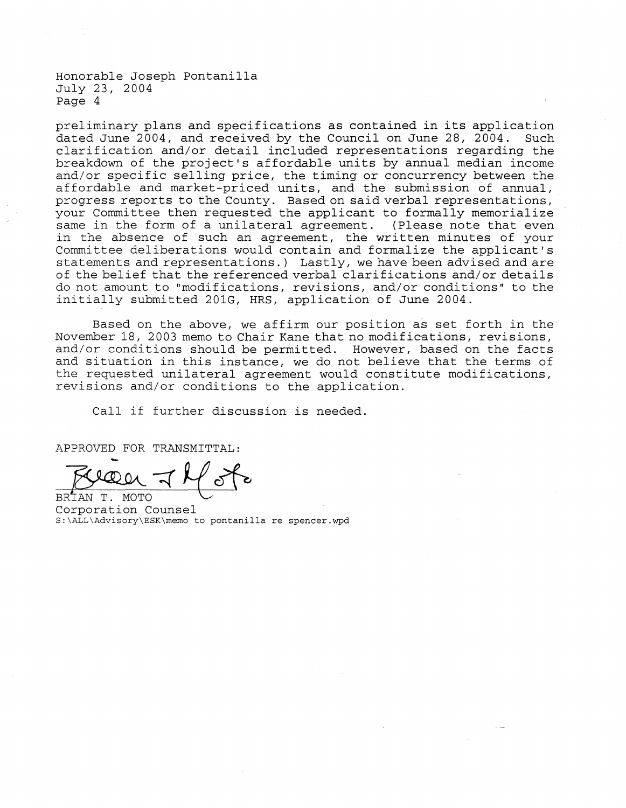Honorable Joseph Pontanilla July 23, 2004 Page 4

preliminary plans and specifications as contained in its application dated June 2004, and received by the Council on June 28, 2004. Such clarification and/or detail included representations regarding the breakdown of the project's affordable units by annual median income and/or specific selling price, the timing or concurrency between the affordable and market-priced units, and the submission of annual, progress reports to the County. Based on said verbal representations, your Committee then requested the applicant to formally memorialize same in the form of a unilateral agreement. (Please note that even in the absence of such an agreement, the written minutes of your Committee deliberations would contain and formalize the applicant's statements and representations.) Lastly, we have been advised and are of the belief that the referenced verbal clarifications and/or details do not amount to "modifications, revisions, and/or conditions" to the initially submitted 201G, HRS, application of June 2004.

Based on the above, we affirm our position as set forth in the November 18, 2003 memo to Chair Kane that no modifications, revisions, and/or conditions should be permitted. However, based on the facts and situation in this instance, we do not believe that the terms of the requested unilateral agreement would constitute modifications, revisions and/or conditions to the application.

Call if further discussion is needed.

APPROVED FOR TRANSMITTAL:

BRIAN T. MOTO Corporation Counsel S:\ALL\Advisory\ESK\memo to pontanilla re spencer.wpd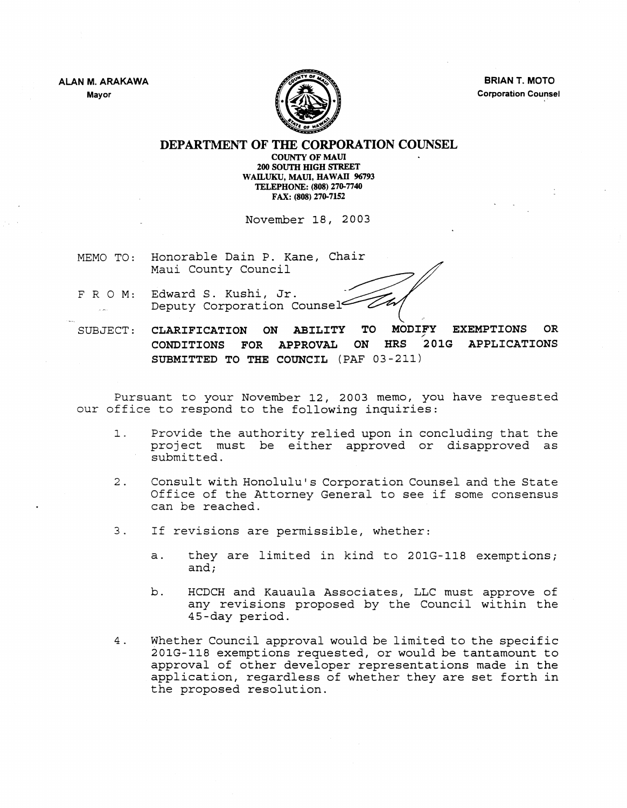ALAN M. ARAKAWA Mayor



BRIAN T. MOTO Corporation Counsel ,.

DEPARTMENT OF THE CORPORATION COUNSEL

COUNTY OF MAUl 200 SOUTH mGH STREET WAILUKU, MAUI, HAWAII 96793 TELEPHONE: (808) 270-7740 FAX: (808) 270-7152

November 18, 2003

MEMO TO: Honorable Dain P. Kane, Chair Maui County Council

Edward S. Kushi, Jr. FRO M: Deputy Corporation Counsel  $\mathbb{R}^2$ 

SUBJECT: CLARIFICATION ON ABILITY TO MODIFY EXEMPTIONS OR<br>CONDITIONS FOR APPROVAL ON HRS 201G APPLICATIONS 201G APPLICATIONS SUBMITTED TO THE COUNCIL (PAF 03-211)

Pursuant to your November 12, 2003 memo, you have requested our office to respond to the following inquiries:

- 1. Provide the authority relied upon in concluding that the project must be either approved or disapproved as submitted.
- 2. Consult with Honolulu's Corporation Counsel and the State Office of the Attorney General to see if some consensus can be reached.
- 3. If revisions are permissible, whether:
	- a. they are limited in kind to 201G-118 exemptions; and;
	- b. HCDCH and Kauaula Associates, LLC must approve of any revisions proposed by the Council within the 4S-day period.
- 4. Whether Council approval would be limited to the specific 201G-118 exemptions requested, or would be tantamount to approval of other developer representations made in the application, regardless of whether they are set forth in the proposed resolution.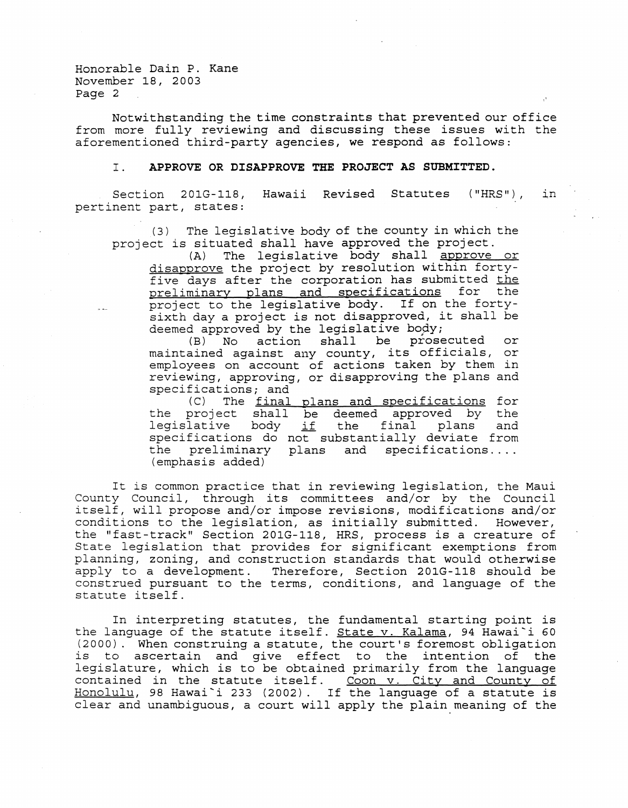Honorable Dain P. Kane November 18, 2003 Page 2

Notwithstanding the time constraints that prevented our office from more fully reviewing and discussing these issues with the aforementioned third-party agencies, we respond as follows:

#### I. **APPROVE OR DISAPPROVE THE PROJECT AS SUBMITTED.**

Section 201G-118, Hawaii Revised Statutes ("HRS"), pertinent part, states: in

(3) The legislative body of the county in which the project is situated shall have approved the project.<br>(A) The legislative body shall approve

The legislative body shall approve or disapprove the project by resolution within fortyfive days after the corporation has submitted the preliminary plans and specifications for the project to the legislative body. If on the fortysixth day a project is not disapproved, it shall be deemed approved by the legislative body;<br>(B) No action shall be prose

No action shall be prosecuted or maintained against any county, its officials, or employees on account of actions taken by them in reviewing, approving, or disapproving the plans and specifications; and<br>(C) The final

(C) The <u>final plans and specifications</u> for the project shall be deemed approved by the the final plans and legislative body <u>if</u> specifications do not substantially deviate from specifications do not substantially deviate from<br>the preliminary plans and specifications.... (emphasis added)

It is common practice that in reviewing legislation, the Maui County Council, through its committees and/or by the Council itself, will propose and/or impose revisions, modifications and/or conditions to the legislation, as initially submitted. However, the "fast-track" Section 201G-118, HRS, process is a creature of State legislation that provides for significant exemptions from planning, zoning, and construction standards that would otherwise apply to a development. Therefore, Section 201G-118 should be construed pursuant to the terms, conditions, and language of the statute itself.

In interpreting statutes, the fundamental starting point is the language of the statute itself. State v. Kalama, 94 Hawai'i 60 (2000). When construing a statute, the court's foremost obligation is to ascertain and give effect to the intention of the legislature, which is to be obtained primarily from the language registature, which is to be obtained primarily from the fanguage<br>contained in the statute itself. Coon v. City and County of Honolulu, 98 Hawai'i 233 (2002). If the language of a statute is clear and unambiguous, a court will apply the plain meaning of the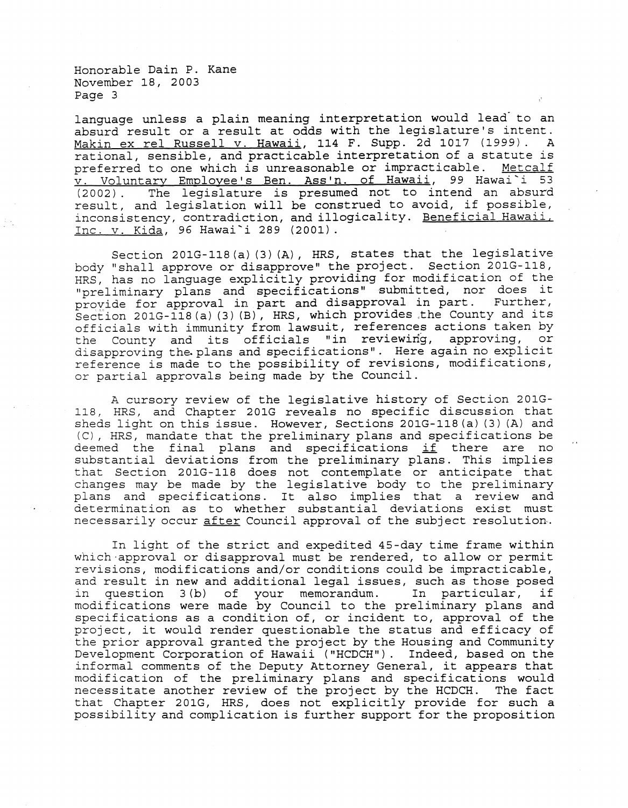Honorable Dain P. Kane November 18, 2003 Page 3

language unless a plain meaning interpretation would lead to an absurd result or a result at odds with the legislature's intent. Makin ex reI Russell v. Hawaii, 114 F. Supp. 2d 1017 (1999). A rational, sensible, and practicable interpretation of a statute is<br>preferred to one which is unreasonable or impracticable. Metcalf preferred to one which is unreasonable or impracticable. v. Voluntary Employee's Ben. Ass'n. of Hawaii, 99 Hawai'i 53<br>(2002). The legislature is presumed not to intend an absurd The legislature is presumed not to intend an absurd result, and legislation will be construed to avoid, if possible, inconsistency, contradiction, and illogicality. Beneficial Hawaii. Inc. v. Kida, 96 Hawai'i 289 (2001).

Section 201G-118(a) (3) (A), HRS, states that the legislative body "shall approve or disapprove" the project. Section 201G-118, HRS, has no language explicitly providing for modification of the "preliminary plans and specifications" submitted, nor does it proyide for approval in part and disapproval in part. Further, Section 201G-118(a) (3) (B), HRS, which provides the County and its officials with immunity from lawsuit, references actions taken by<br>the County and its officials "in reviewing, approving, or the County and its officials "in reviewing, disapproving the. plans and specifications". Here again no explicit reference is made to the possibility of revisions, modifications, or partial approvals being made by the Council.

A cursory review of the legislative history of Section 201G-118, HRS, and Chapter 201G reveals no specific discussion that sheds light on this issue. However, Sections 201G-118 (a) (3) (A) and (C), HRS, mandate that the preliminary plans and specifications be deemed the final plans and specifications if there are no substantial deviations from the preliminary plans. This implies that Section 201G-118 does not contemplate or anticipate that changes may be made by the legislative body to the preliminary plans and specifications. It also implies that a review and determination as to whether substantial deviations exist must necessarily occur after Council approval of the subject resolution.

In light of the strict and expedited 45-day time frame within which-approval or disapproval must be rendered, to allow or permit revisions, modifications and/or conditions could be impracticable, and result in new and additional legal issues, such as those posed<br>in question 3(b) of your memorandum. In particular, if in question  $3(b)$  of your memorandum. modifications were made by Council to the preliminary plans and specifications as a condition of, or incident to, approval of the project, it would render questionable the status and efficacy of the prior approval granted the project by the Housing and Community Development Corporation of Hawaii ("HCDCH"). Indeed, based on the informal comments of the Deputy Attorney General, it appears that modification of the preliminary plans and specifications would necessitate another review of the project by the HCDCH. The fact that Chapter 201G, HRS, does not explicitly provide for such a possibility and complication is further support for the proposition